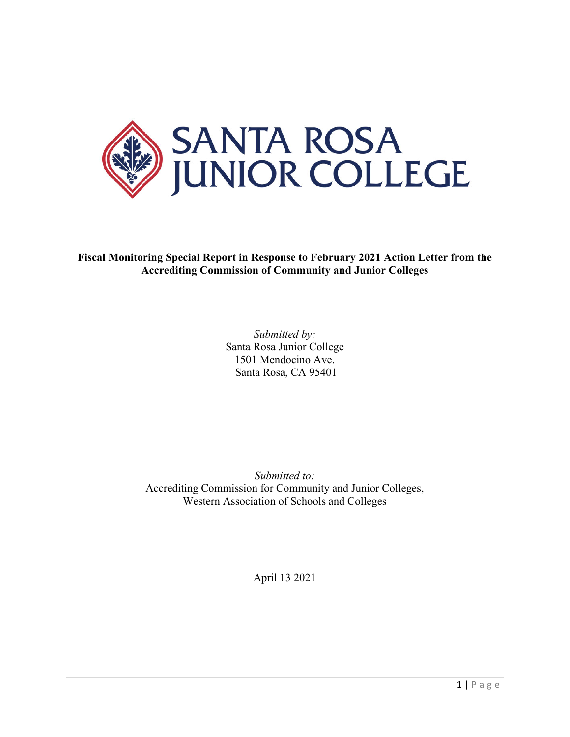

**Fiscal Monitoring Special Report in Response to February 2021 Action Letter from the Accrediting Commission of Community and Junior Colleges**

> *Submitted by:* Santa Rosa Junior College 1501 Mendocino Ave. Santa Rosa, CA 95401

*Submitted to:*  Accrediting Commission for Community and Junior Colleges, Western Association of Schools and Colleges

April 13 2021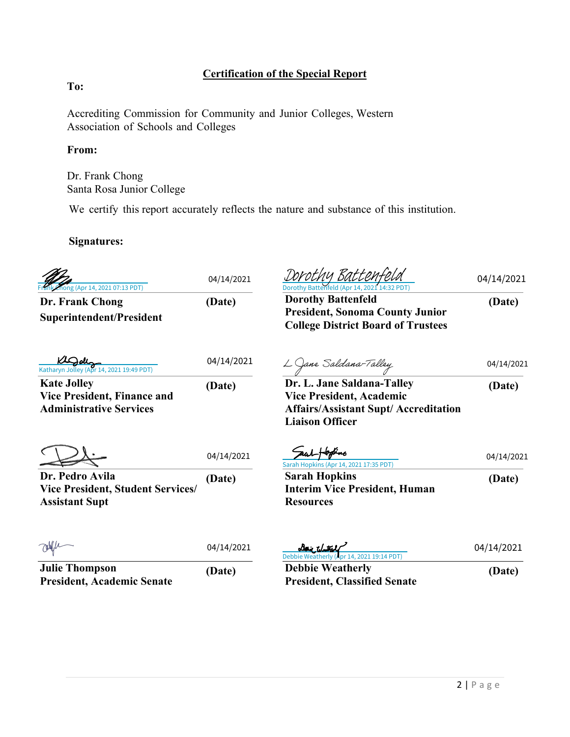# **Certification of the Special Report**

# **To:**

Accrediting Commission for Community and Junior Colleges, Western Association of Schools and Colleges

## **From:**

Dr. Frank Chong Santa Rosa Junior College

We certify this report accurately reflects the nature and substance of this institution.

## **Signatures:**

| Phong (Apr 14, 2021 07:13 PDT)                                                             | 04/14/2021 | Dorothy Batten <del>,</del><br>Dorothy Battenfeld (Apr 14, 2021 14:32 PDT                                        | 04/14/2021 |
|--------------------------------------------------------------------------------------------|------------|------------------------------------------------------------------------------------------------------------------|------------|
| Dr. Frank Chong<br><b>Superintendent/President</b>                                         | (Date)     | <b>Dorothy Battenfeld</b><br><b>President, Sonoma County Junior</b><br><b>College District Board of Trustees</b> | (Date)     |
| Katharyn Jolley (Apr 14, 2021 19:49 PDT)                                                   | 04/14/2021 | $\frac{L}{D}$ ane Saldana-Talley<br>Dr. L. Jane Saldana-Talley                                                   | 04/14/2021 |
| <b>Kate Jolley</b><br><b>Vice President, Finance and</b><br><b>Administrative Services</b> | (Date)     | <b>Vice President, Academic</b><br><b>Affairs/Assistant Supt/ Accreditation</b><br><b>Liaison Officer</b>        | (Date)     |
|                                                                                            | 04/14/2021 | Sarah Hopkins (Apr 14, 2021 17:35 PDT)                                                                           | 04/14/2021 |
| Dr. Pedro Avila<br><b>Vice President, Student Services/</b><br><b>Assistant Supt</b>       | (Date)     | <b>Sarah Hopkins</b><br><b>Interim Vice President, Human</b><br><b>Resources</b>                                 | (Date)     |
|                                                                                            | 04/14/2021 | Daic Without<br>Debbie Weatherly (Apr 14, 2021 19:14 PDT)                                                        | 04/14/2021 |
| <b>Julie Thompson</b><br><b>President, Academic Senate</b>                                 | (Date)     | <b>Debbie Weatherly</b><br><b>President, Classified Senate</b>                                                   | (Date)     |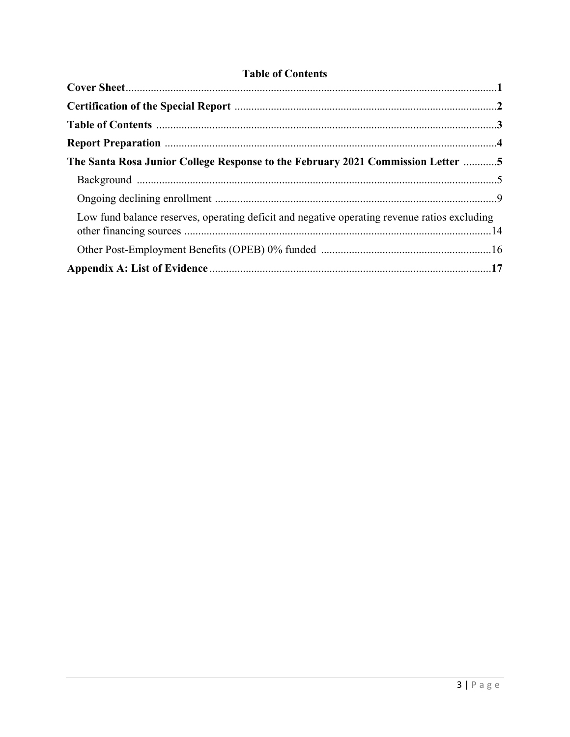# **Table of Contents**

| The Santa Rosa Junior College Response to the February 2021 Commission Letter 5              |  |
|----------------------------------------------------------------------------------------------|--|
|                                                                                              |  |
|                                                                                              |  |
| Low fund balance reserves, operating deficit and negative operating revenue ratios excluding |  |
|                                                                                              |  |
|                                                                                              |  |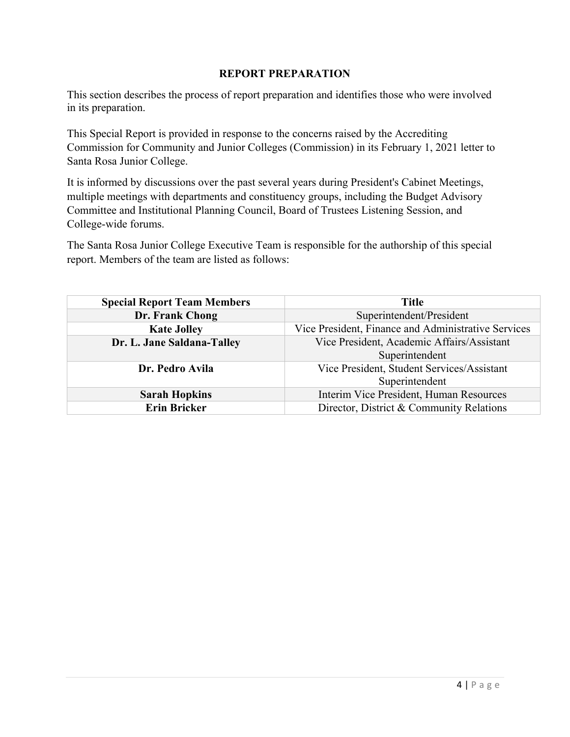#### **REPORT PREPARATION**

This section describes the process of report preparation and identifies those who were involved in its preparation.

This Special Report is provided in response to the concerns raised by the Accrediting Commission for Community and Junior Colleges (Commission) in its February 1, 2021 letter to Santa Rosa Junior College.

It is informed by discussions over the past several years during President's Cabinet Meetings, multiple meetings with departments and constituency groups, including the Budget Advisory Committee and Institutional Planning Council, Board of Trustees Listening Session, and College-wide forums.

The Santa Rosa Junior College Executive Team is responsible for the authorship of this special report. Members of the team are listed as follows:

| <b>Special Report Team Members</b> | <b>Title</b>                                        |  |
|------------------------------------|-----------------------------------------------------|--|
| Dr. Frank Chong                    | Superintendent/President                            |  |
| <b>Kate Jolley</b>                 | Vice President, Finance and Administrative Services |  |
| Dr. L. Jane Saldana-Talley         | Vice President, Academic Affairs/Assistant          |  |
|                                    | Superintendent                                      |  |
| Dr. Pedro Avila                    | Vice President, Student Services/Assistant          |  |
|                                    | Superintendent                                      |  |
| <b>Sarah Hopkins</b>               | Interim Vice President, Human Resources             |  |
| <b>Erin Bricker</b>                | Director, District & Community Relations            |  |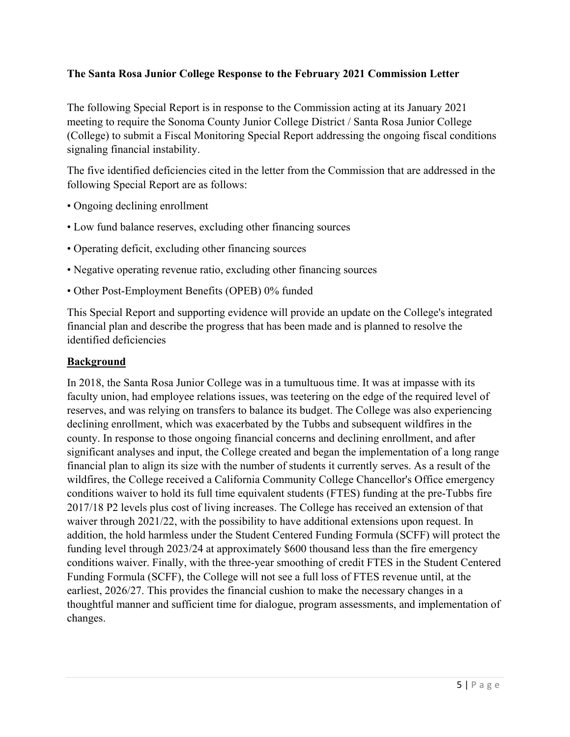## **The Santa Rosa Junior College Response to the February 2021 Commission Letter**

The following Special Report is in response to the Commission acting at its January 2021 meeting to require the Sonoma County Junior College District / Santa Rosa Junior College (College) to submit a Fiscal Monitoring Special Report addressing the ongoing fiscal conditions signaling financial instability.

The five identified deficiencies cited in the letter from the Commission that are addressed in the following Special Report are as follows:

- Ongoing declining enrollment
- Low fund balance reserves, excluding other financing sources
- Operating deficit, excluding other financing sources
- Negative operating revenue ratio, excluding other financing sources
- Other Post-Employment Benefits (OPEB) 0% funded

This Special Report and supporting evidence will provide an update on the College's integrated financial plan and describe the progress that has been made and is planned to resolve the identified deficiencies

## **Background**

In 2018, the Santa Rosa Junior College was in a tumultuous time. It was at impasse with its faculty union, had employee relations issues, was teetering on the edge of the required level of reserves, and was relying on transfers to balance its budget. The College was also experiencing declining enrollment, which was exacerbated by the Tubbs and subsequent wildfires in the county. In response to those ongoing financial concerns and declining enrollment, and after significant analyses and input, the College created and began the implementation of a long range financial plan to align its size with the number of students it currently serves. As a result of the wildfires, the College received a California Community College Chancellor's Office emergency conditions waiver to hold its full time equivalent students (FTES) funding at the pre-Tubbs fire 2017/18 P2 levels plus cost of living increases. The College has received an extension of that waiver through 2021/22, with the possibility to have additional extensions upon request. In addition, the hold harmless under the Student Centered Funding Formula (SCFF) will protect the funding level through 2023/24 at approximately \$600 thousand less than the fire emergency conditions waiver. Finally, with the three-year smoothing of credit FTES in the Student Centered Funding Formula (SCFF), the College will not see a full loss of FTES revenue until, at the earliest, 2026/27. This provides the financial cushion to make the necessary changes in a thoughtful manner and sufficient time for dialogue, program assessments, and implementation of changes.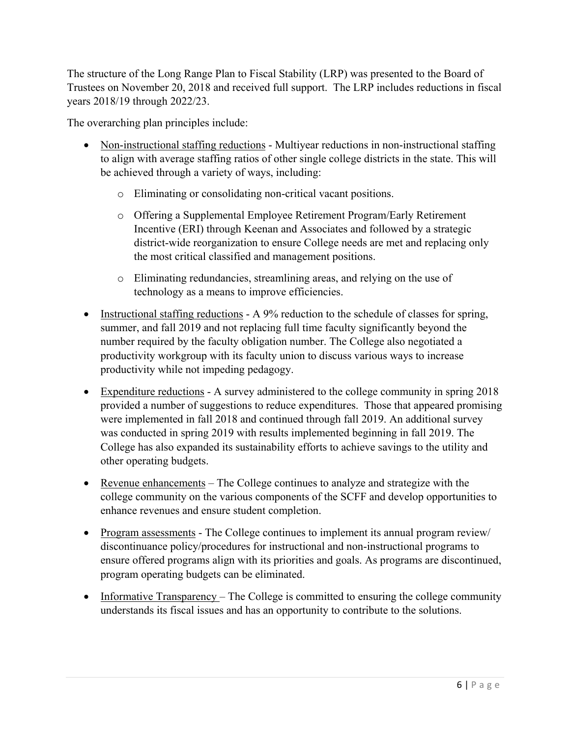The structure of the Long Range Plan to Fiscal Stability (LRP) was presented to the Board of Trustees on November 20, 2018 and received full support. The LRP includes reductions in fiscal years 2018/19 through 2022/23.

The overarching plan principles include:

- Non-instructional staffing reductions Multiyear reductions in non-instructional staffing to align with average staffing ratios of other single college districts in the state. This will be achieved through a variety of ways, including:
	- o Eliminating or consolidating non-critical vacant positions.
	- o Offering a Supplemental Employee Retirement Program/Early Retirement Incentive (ERI) through Keenan and Associates and followed by a strategic district-wide reorganization to ensure College needs are met and replacing only the most critical classified and management positions.
	- o Eliminating redundancies, streamlining areas, and relying on the use of technology as a means to improve efficiencies.
- Instructional staffing reductions A 9% reduction to the schedule of classes for spring, summer, and fall 2019 and not replacing full time faculty significantly beyond the number required by the faculty obligation number. The College also negotiated a productivity workgroup with its faculty union to discuss various ways to increase productivity while not impeding pedagogy.
- Expenditure reductions A survey administered to the college community in spring 2018 provided a number of suggestions to reduce expenditures. Those that appeared promising were implemented in fall 2018 and continued through fall 2019. An additional survey was conducted in spring 2019 with results implemented beginning in fall 2019. The College has also expanded its sustainability efforts to achieve savings to the utility and other operating budgets.
- Revenue enhancements The College continues to analyze and strategize with the college community on the various components of the SCFF and develop opportunities to enhance revenues and ensure student completion.
- Program assessments The College continues to implement its annual program review/ discontinuance policy/procedures for instructional and non-instructional programs to ensure offered programs align with its priorities and goals. As programs are discontinued, program operating budgets can be eliminated.
- Informative Transparency The College is committed to ensuring the college community understands its fiscal issues and has an opportunity to contribute to the solutions.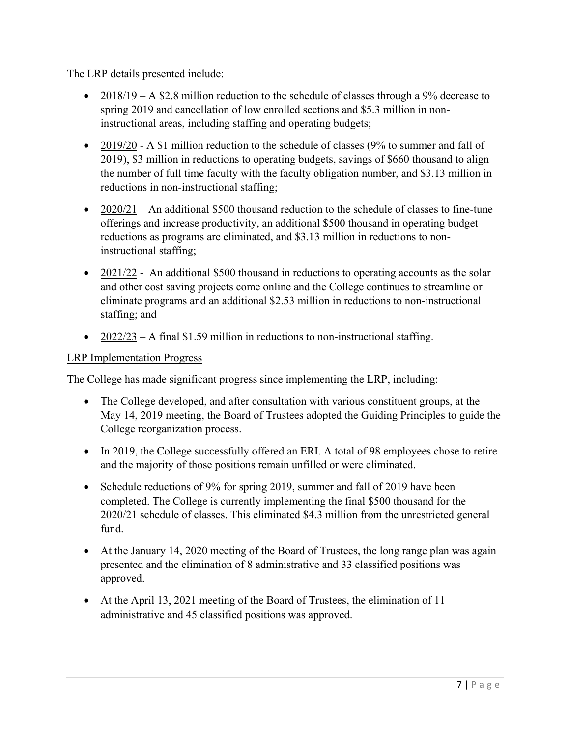The LRP details presented include:

- 2018/19 A \$2.8 million reduction to the schedule of classes through a 9% decrease to spring 2019 and cancellation of low enrolled sections and \$5.3 million in noninstructional areas, including staffing and operating budgets;
- $\bullet$  2019/20 A \$1 million reduction to the schedule of classes (9% to summer and fall of 2019), \$3 million in reductions to operating budgets, savings of \$660 thousand to align the number of full time faculty with the faculty obligation number, and \$3.13 million in reductions in non-instructional staffing;
- $2020/21$  An additional \$500 thousand reduction to the schedule of classes to fine-tune offerings and increase productivity, an additional \$500 thousand in operating budget reductions as programs are eliminated, and \$3.13 million in reductions to noninstructional staffing;
- $\bullet$  2021/22 An additional \$500 thousand in reductions to operating accounts as the solar and other cost saving projects come online and the College continues to streamline or eliminate programs and an additional \$2.53 million in reductions to non-instructional staffing; and
- $2022/23$  A final \$1.59 million in reductions to non-instructional staffing.

## LRP Implementation Progress

The College has made significant progress since implementing the LRP, including:

- The College developed, and after consultation with various constituent groups, at the May 14, 2019 meeting, the Board of Trustees adopted the Guiding Principles to guide the College reorganization process.
- In 2019, the College successfully offered an ERI. A total of 98 employees chose to retire and the majority of those positions remain unfilled or were eliminated.
- Schedule reductions of 9% for spring 2019, summer and fall of 2019 have been completed. The College is currently implementing the final \$500 thousand for the 2020/21 schedule of classes. This eliminated \$4.3 million from the unrestricted general fund.
- At the January 14, 2020 meeting of the Board of Trustees, the long range plan was again presented and the elimination of 8 administrative and 33 classified positions was approved.
- At the April 13, 2021 meeting of the Board of Trustees, the elimination of 11 administrative and 45 classified positions was approved.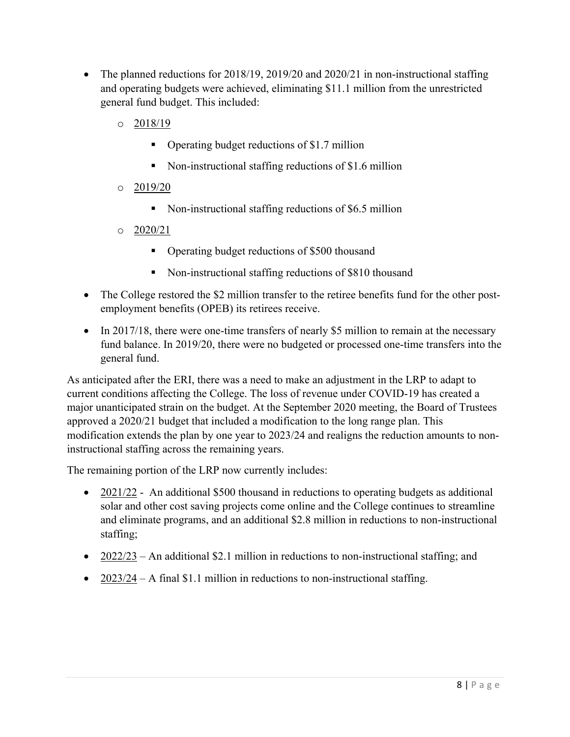- The planned reductions for 2018/19, 2019/20 and 2020/21 in non-instructional staffing and operating budgets were achieved, eliminating \$11.1 million from the unrestricted general fund budget. This included:
	- o 2018/19
		- Operating budget reductions of \$1.7 million
		- Non-instructional staffing reductions of \$1.6 million
	- o 2019/20
		- Non-instructional staffing reductions of \$6.5 million
	- o 2020/21
		- Operating budget reductions of \$500 thousand
		- Non-instructional staffing reductions of \$810 thousand
- The College restored the \$2 million transfer to the retiree benefits fund for the other postemployment benefits (OPEB) its retirees receive.
- In 2017/18, there were one-time transfers of nearly \$5 million to remain at the necessary fund balance. In 2019/20, there were no budgeted or processed one-time transfers into the general fund.

As anticipated after the ERI, there was a need to make an adjustment in the LRP to adapt to current conditions affecting the College. The loss of revenue under COVID-19 has created a major unanticipated strain on the budget. At the September 2020 meeting, the Board of Trustees approved a 2020/21 budget that included a modification to the long range plan. This modification extends the plan by one year to 2023/24 and realigns the reduction amounts to noninstructional staffing across the remaining years.

The remaining portion of the LRP now currently includes:

- 2021/22 An additional \$500 thousand in reductions to operating budgets as additional solar and other cost saving projects come online and the College continues to streamline and eliminate programs, and an additional \$2.8 million in reductions to non-instructional staffing;
- $2022/23$  An additional \$2.1 million in reductions to non-instructional staffing; and
- $2023/24$  A final \$1.1 million in reductions to non-instructional staffing.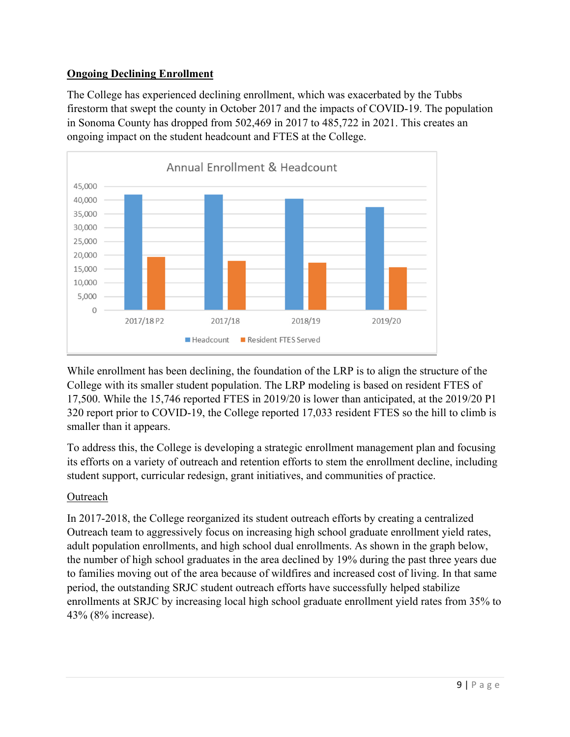# **Ongoing Declining Enrollment**

The College has experienced declining enrollment, which was exacerbated by the Tubbs firestorm that swept the county in October 2017 and the impacts of COVID-19. The population in Sonoma County has dropped from 502,469 in 2017 to 485,722 in 2021. This creates an ongoing impact on the student headcount and FTES at the College.



While enrollment has been declining, the foundation of the LRP is to align the structure of the College with its smaller student population. The LRP modeling is based on resident FTES of 17,500. While the 15,746 reported FTES in 2019/20 is lower than anticipated, at the 2019/20 P1 320 report prior to COVID-19, the College reported 17,033 resident FTES so the hill to climb is smaller than it appears.

To address this, the College is developing a strategic enrollment management plan and focusing its efforts on a variety of outreach and retention efforts to stem the enrollment decline, including student support, curricular redesign, grant initiatives, and communities of practice.

## Outreach

In 2017-2018, the College reorganized its student outreach efforts by creating a centralized Outreach team to aggressively focus on increasing high school graduate enrollment yield rates, adult population enrollments, and high school dual enrollments. As shown in the graph below, the number of high school graduates in the area declined by 19% during the past three years due to families moving out of the area because of wildfires and increased cost of living. In that same period, the outstanding SRJC student outreach efforts have successfully helped stabilize enrollments at SRJC by increasing local high school graduate enrollment yield rates from 35% to 43% (8% increase).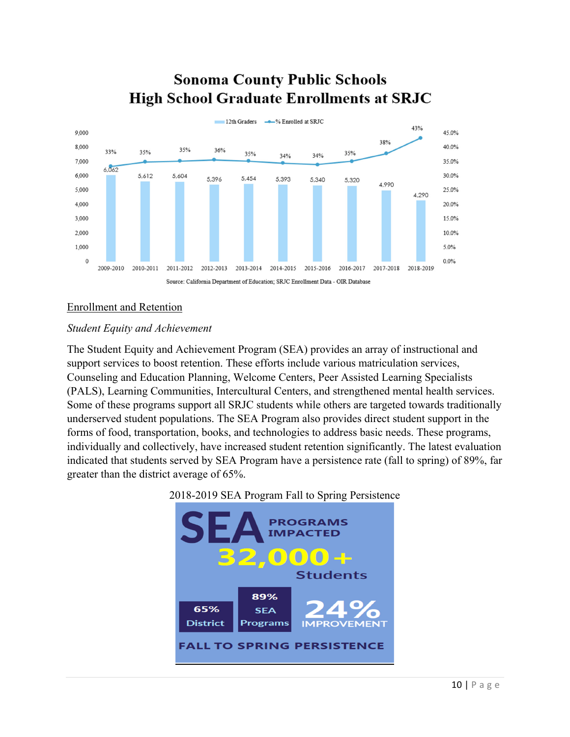# **Sonoma County Public Schools High School Graduate Enrollments at SRJC**



#### Enrollment and Retention

#### *Student Equity and Achievement*

The Student Equity and Achievement Program (SEA) provides an array of instructional and support services to boost retention. These efforts include various matriculation services, Counseling and Education Planning, Welcome Centers, Peer Assisted Learning Specialists (PALS), Learning Communities, Intercultural Centers, and strengthened mental health services. Some of these programs support all SRJC students while others are targeted towards traditionally underserved student populations. The SEA Program also provides direct student support in the forms of food, transportation, books, and technologies to address basic needs. These programs, individually and collectively, have increased student retention significantly. The latest evaluation indicated that students served by SEA Program have a persistence rate (fall to spring) of 89%, far greater than the district average of 65%.



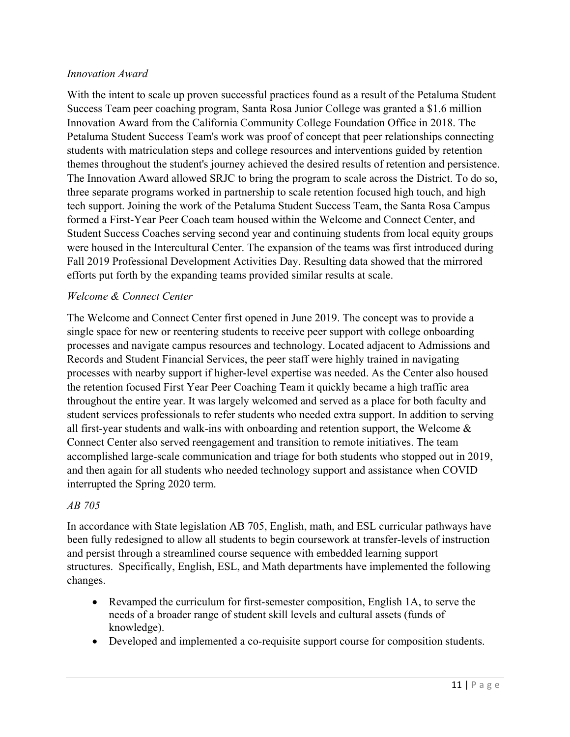#### *Innovation Award*

With the intent to scale up proven successful practices found as a result of the Petaluma Student Success Team peer coaching program, Santa Rosa Junior College was granted a \$1.6 million Innovation Award from the California Community College Foundation Office in 2018. The Petaluma Student Success Team's work was proof of concept that peer relationships connecting students with matriculation steps and college resources and interventions guided by retention themes throughout the student's journey achieved the desired results of retention and persistence. The Innovation Award allowed SRJC to bring the program to scale across the District. To do so, three separate programs worked in partnership to scale retention focused high touch, and high tech support. Joining the work of the Petaluma Student Success Team, the Santa Rosa Campus formed a First-Year Peer Coach team housed within the Welcome and Connect Center, and Student Success Coaches serving second year and continuing students from local equity groups were housed in the Intercultural Center. The expansion of the teams was first introduced during Fall 2019 Professional Development Activities Day. Resulting data showed that the mirrored efforts put forth by the expanding teams provided similar results at scale.

#### *Welcome & Connect Center*

The Welcome and Connect Center first opened in June 2019. The concept was to provide a single space for new or reentering students to receive peer support with college onboarding processes and navigate campus resources and technology. Located adjacent to Admissions and Records and Student Financial Services, the peer staff were highly trained in navigating processes with nearby support if higher-level expertise was needed. As the Center also housed the retention focused First Year Peer Coaching Team it quickly became a high traffic area throughout the entire year. It was largely welcomed and served as a place for both faculty and student services professionals to refer students who needed extra support. In addition to serving all first-year students and walk-ins with onboarding and retention support, the Welcome & Connect Center also served reengagement and transition to remote initiatives. The team accomplished large-scale communication and triage for both students who stopped out in 2019, and then again for all students who needed technology support and assistance when COVID interrupted the Spring 2020 term.

#### *AB 705*

In accordance with State legislation AB 705, English, math, and ESL curricular pathways have been fully redesigned to allow all students to begin coursework at transfer-levels of instruction and persist through a streamlined course sequence with embedded learning support structures. Specifically, English, ESL, and Math departments have implemented the following changes.

- Revamped the curriculum for first-semester composition, English 1A, to serve the needs of a broader range of student skill levels and cultural assets (funds of knowledge).
- Developed and implemented a co-requisite support course for composition students.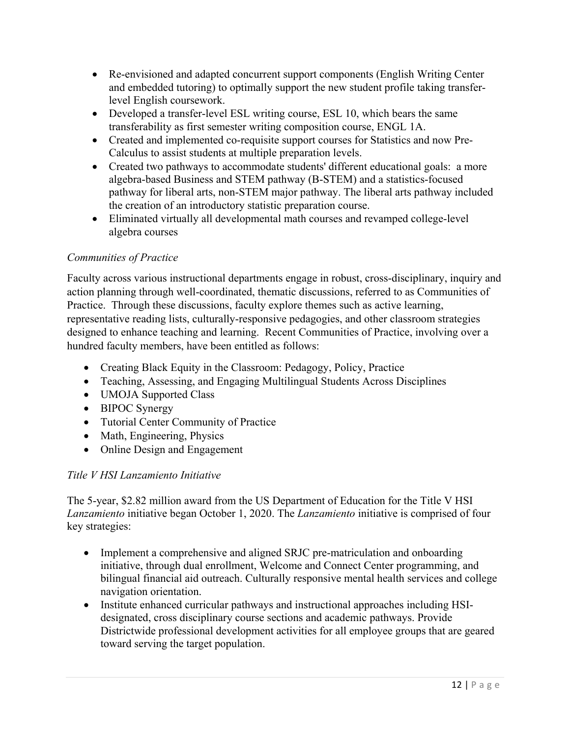- Re-envisioned and adapted concurrent support components (English Writing Center and embedded tutoring) to optimally support the new student profile taking transferlevel English coursework.
- Developed a transfer-level ESL writing course, ESL 10, which bears the same transferability as first semester writing composition course, ENGL 1A.
- Created and implemented co-requisite support courses for Statistics and now Pre-Calculus to assist students at multiple preparation levels.
- Created two pathways to accommodate students' different educational goals: a more algebra-based Business and STEM pathway (B-STEM) and a statistics-focused pathway for liberal arts, non-STEM major pathway. The liberal arts pathway included the creation of an introductory statistic preparation course.
- Eliminated virtually all developmental math courses and revamped college-level algebra courses

# *Communities of Practice*

Faculty across various instructional departments engage in robust, cross-disciplinary, inquiry and action planning through well-coordinated, thematic discussions, referred to as Communities of Practice. Through these discussions, faculty explore themes such as active learning, representative reading lists, culturally-responsive pedagogies, and other classroom strategies designed to enhance teaching and learning. Recent Communities of Practice, involving over a hundred faculty members, have been entitled as follows:

- Creating Black Equity in the Classroom: Pedagogy, Policy, Practice
- Teaching, Assessing, and Engaging Multilingual Students Across Disciplines
- UMOJA Supported Class
- BIPOC Synergy
- Tutorial Center Community of Practice
- Math, Engineering, Physics
- Online Design and Engagement

# *Title V HSI Lanzamiento Initiative*

The 5-year, \$2.82 million award from the US Department of Education for the Title V HSI *Lanzamiento* initiative began October 1, 2020. The *Lanzamiento* initiative is comprised of four key strategies:

- Implement a comprehensive and aligned SRJC pre-matriculation and onboarding initiative, through dual enrollment, Welcome and Connect Center programming, and bilingual financial aid outreach. Culturally responsive mental health services and college navigation orientation.
- Institute enhanced curricular pathways and instructional approaches including HSIdesignated, cross disciplinary course sections and academic pathways. Provide Districtwide professional development activities for all employee groups that are geared toward serving the target population.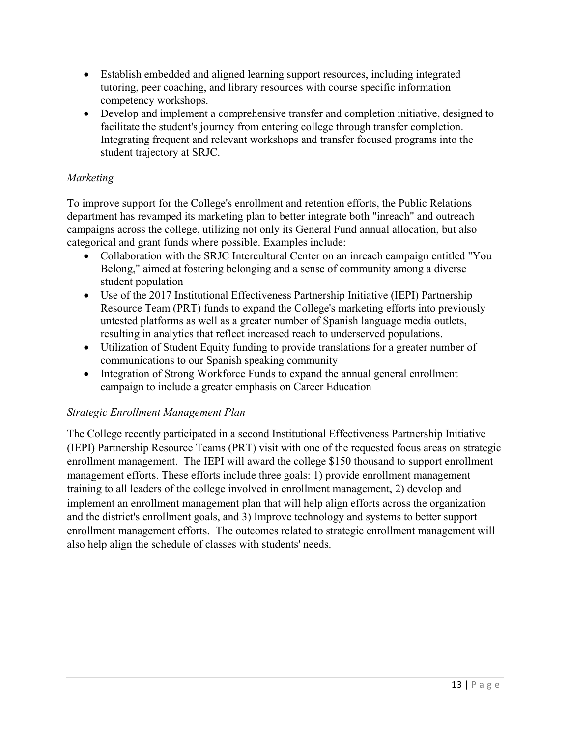- Establish embedded and aligned learning support resources, including integrated tutoring, peer coaching, and library resources with course specific information competency workshops.
- Develop and implement a comprehensive transfer and completion initiative, designed to facilitate the student's journey from entering college through transfer completion. Integrating frequent and relevant workshops and transfer focused programs into the student trajectory at SRJC.

# *Marketing*

To improve support for the College's enrollment and retention efforts, the Public Relations department has revamped its marketing plan to better integrate both "inreach" and outreach campaigns across the college, utilizing not only its General Fund annual allocation, but also categorical and grant funds where possible. Examples include:

- Collaboration with the SRJC Intercultural Center on an inreach campaign entitled "You Belong," aimed at fostering belonging and a sense of community among a diverse student population
- Use of the 2017 Institutional Effectiveness Partnership Initiative (IEPI) Partnership Resource Team (PRT) funds to expand the College's marketing efforts into previously untested platforms as well as a greater number of Spanish language media outlets, resulting in analytics that reflect increased reach to underserved populations.
- Utilization of Student Equity funding to provide translations for a greater number of communications to our Spanish speaking community
- Integration of Strong Workforce Funds to expand the annual general enrollment campaign to include a greater emphasis on Career Education

## *Strategic Enrollment Management Plan*

The College recently participated in a second Institutional Effectiveness Partnership Initiative (IEPI) Partnership Resource Teams (PRT) visit with one of the requested focus areas on strategic enrollment management. The IEPI will award the college \$150 thousand to support enrollment management efforts. These efforts include three goals: 1) provide enrollment management training to all leaders of the college involved in enrollment management, 2) develop and implement an enrollment management plan that will help align efforts across the organization and the district's enrollment goals, and 3) Improve technology and systems to better support enrollment management efforts. The outcomes related to strategic enrollment management will also help align the schedule of classes with students' needs.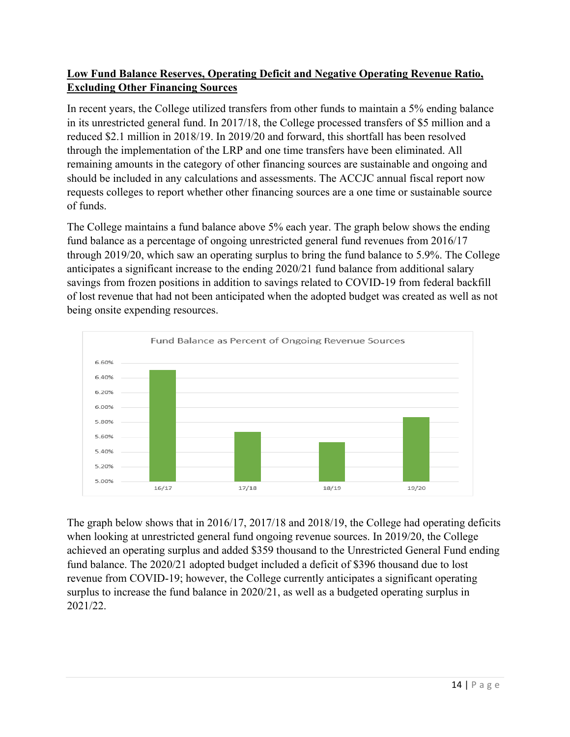# **Low Fund Balance Reserves, Operating Deficit and Negative Operating Revenue Ratio, Excluding Other Financing Sources**

In recent years, the College utilized transfers from other funds to maintain a 5% ending balance in its unrestricted general fund. In 2017/18, the College processed transfers of \$5 million and a reduced \$2.1 million in 2018/19. In 2019/20 and forward, this shortfall has been resolved through the implementation of the LRP and one time transfers have been eliminated. All remaining amounts in the category of other financing sources are sustainable and ongoing and should be included in any calculations and assessments. The ACCJC annual fiscal report now requests colleges to report whether other financing sources are a one time or sustainable source of funds.

The College maintains a fund balance above 5% each year. The graph below shows the ending fund balance as a percentage of ongoing unrestricted general fund revenues from 2016/17 through 2019/20, which saw an operating surplus to bring the fund balance to 5.9%. The College anticipates a significant increase to the ending 2020/21 fund balance from additional salary savings from frozen positions in addition to savings related to COVID-19 from federal backfill of lost revenue that had not been anticipated when the adopted budget was created as well as not being onsite expending resources.



The graph below shows that in 2016/17, 2017/18 and 2018/19, the College had operating deficits when looking at unrestricted general fund ongoing revenue sources. In 2019/20, the College achieved an operating surplus and added \$359 thousand to the Unrestricted General Fund ending fund balance. The 2020/21 adopted budget included a deficit of \$396 thousand due to lost revenue from COVID-19; however, the College currently anticipates a significant operating surplus to increase the fund balance in 2020/21, as well as a budgeted operating surplus in 2021/22.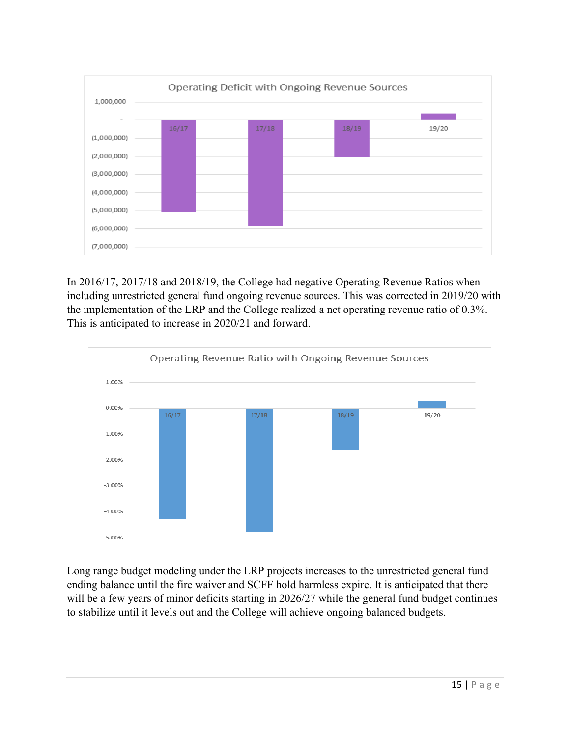

In 2016/17, 2017/18 and 2018/19, the College had negative Operating Revenue Ratios when including unrestricted general fund ongoing revenue sources. This was corrected in 2019/20 with the implementation of the LRP and the College realized a net operating revenue ratio of 0.3%. This is anticipated to increase in 2020/21 and forward.



Long range budget modeling under the LRP projects increases to the unrestricted general fund ending balance until the fire waiver and SCFF hold harmless expire. It is anticipated that there will be a few years of minor deficits starting in 2026/27 while the general fund budget continues to stabilize until it levels out and the College will achieve ongoing balanced budgets.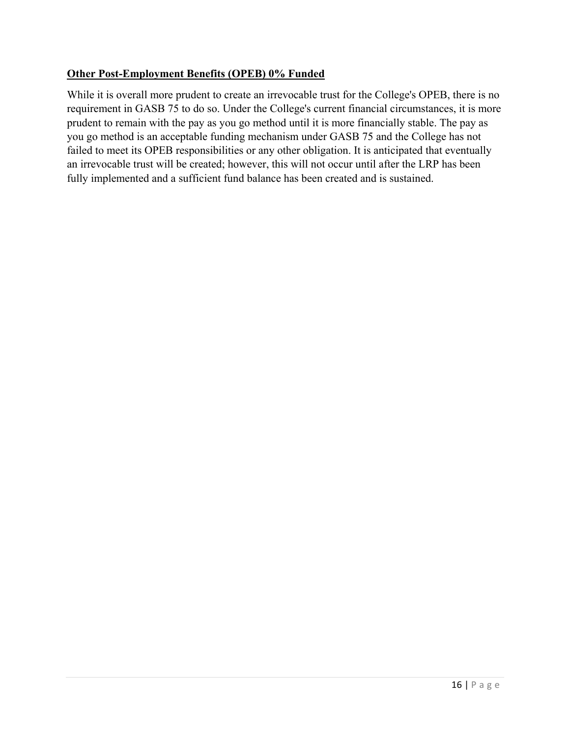## **Other Post-Employment Benefits (OPEB) 0% Funded**

While it is overall more prudent to create an irrevocable trust for the College's OPEB, there is no requirement in GASB 75 to do so. Under the College's current financial circumstances, it is more prudent to remain with the pay as you go method until it is more financially stable. The pay as you go method is an acceptable funding mechanism under GASB 75 and the College has not failed to meet its OPEB responsibilities or any other obligation. It is anticipated that eventually an irrevocable trust will be created; however, this will not occur until after the LRP has been fully implemented and a sufficient fund balance has been created and is sustained.